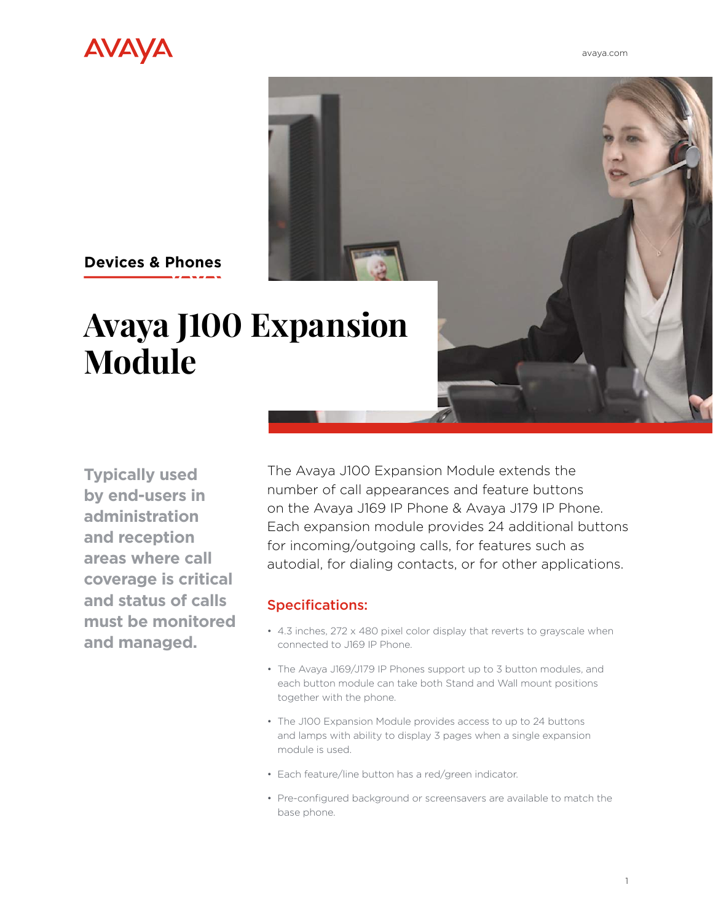[avaya.com](http://www.avaya.com/en)



## **Avaya J100 Expansion Devices & Phones**

**Typically used by end-users in administration and reception areas where call coverage is critical and status of calls must be monitored and managed.**

**Module** 

The Avaya J100 Expansion Module extends the number of call appearances and feature buttons on the Avaya J169 IP Phone & Avaya J179 IP Phone. Each expansion module provides 24 additional buttons for incoming/outgoing calls, for features such as autodial, for dialing contacts, or for other applications.

## Specifications:

- 4.3 inches, 272 x 480 pixel color display that reverts to grayscale when connected to J169 IP Phone.
- The Avaya J169/J179 IP Phones support up to 3 button modules, and each button module can take both Stand and Wall mount positions together with the phone.
- The J100 Expansion Module provides access to up to 24 buttons and lamps with ability to display 3 pages when a single expansion module is used.
- Each feature/line button has a red/green indicator.
- Pre-configured background or screensavers are available to match the base phone.